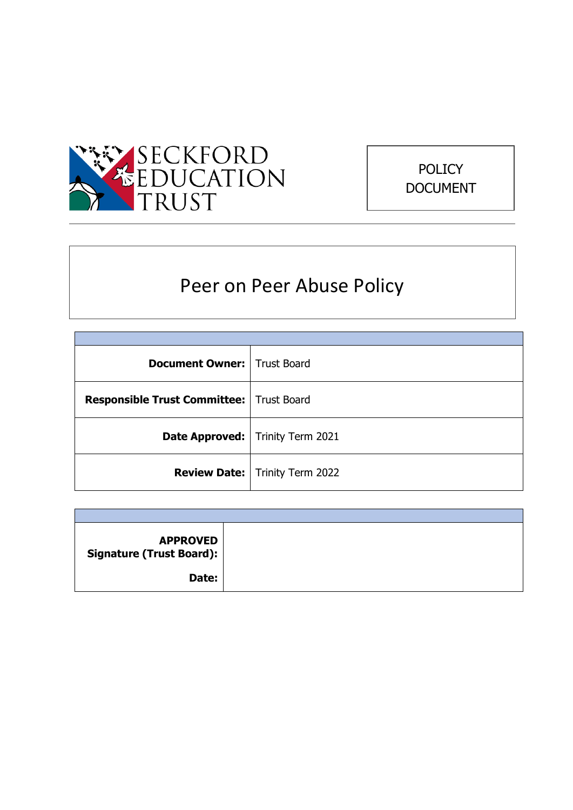



# Peer on Peer Abuse Policy

| <b>Document Owner:   Trust Board</b>       |                                           |
|--------------------------------------------|-------------------------------------------|
| Responsible Trust Committee:   Trust Board |                                           |
|                                            | <b>Date Approved:</b>   Trinity Term 2021 |
|                                            | <b>Review Date:</b>   Trinity Term 2022   |

| <b>APPROVED</b><br><b>Signature (Trust Board):</b> |  |
|----------------------------------------------------|--|
| Date:                                              |  |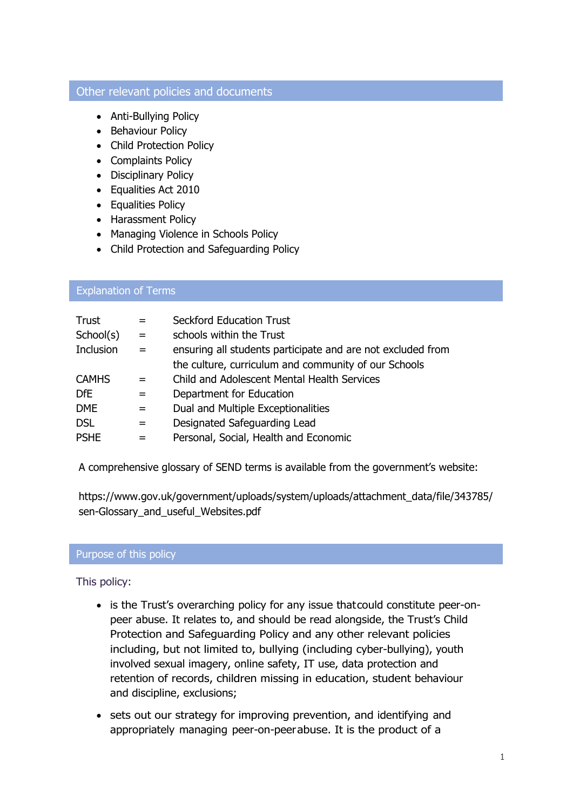#### Other relevant policies and documents

- Anti-Bullying Policy
- Behaviour Policy
- Child Protection Policy
- Complaints Policy
- Disciplinary Policy
- Equalities Act 2010
- Equalities Policy
- Harassment Policy
- Managing Violence in Schools Policy
- Child Protection and Safeguarding Policy

## Explanation of Terms

| Trust        | $=$ | <b>Seckford Education Trust</b>                             |
|--------------|-----|-------------------------------------------------------------|
| School(s)    | $=$ | schools within the Trust                                    |
| Inclusion    | $=$ | ensuring all students participate and are not excluded from |
|              |     | the culture, curriculum and community of our Schools        |
| <b>CAMHS</b> |     | Child and Adolescent Mental Health Services                 |
| <b>DfE</b>   | $=$ | Department for Education                                    |
| <b>DME</b>   | $=$ | Dual and Multiple Exceptionalities                          |
| <b>DSL</b>   | $=$ | Designated Safeguarding Lead                                |
| <b>PSHE</b>  |     | Personal, Social, Health and Economic                       |

A comprehensive glossary of SEND terms is available from the government's website:

https:/[/www.gov.uk/government/uploads/system/uploads/attachment\\_data/file/343785/](http://www.gov.uk/government/uploads/system/uploads/attachment_data/file/343785) sen-Glossary\_and\_useful\_Websites.pdf

#### Purpose of this policy

This policy:

- is the Trust's overarching policy for any issue that could constitute peer-onpeer abuse. It relates to, and should be read alongside, the Trust's Child Protection and Safeguarding Policy and any other relevant policies including, but not limited to, bullying (including cyber-bullying), youth involved sexual imagery, online safety, IT use, data protection and retention of records, children missing in education, student behaviour and discipline, exclusions;
- sets out our strategy for improving prevention, and identifying and appropriately managing peer-on-peerabuse. It is the product of a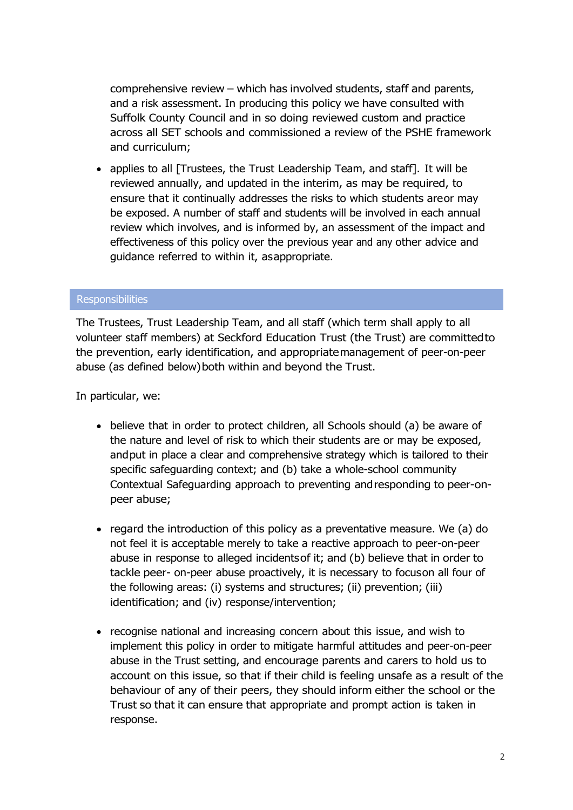comprehensive review – which has involved students, staff and parents, and a risk assessment. In producing this policy we have consulted with Suffolk County Council and in so doing reviewed custom and practice across all SET schools and commissioned a review of the PSHE framework and curriculum;

• applies to all [Trustees, the Trust Leadership Team, and staff]. It will be reviewed annually, and updated in the interim, as may be required, to ensure that it continually addresses the risks to which students areor may be exposed. A number of staff and students will be involved in each annual review which involves, and is informed by, an assessment of the impact and effectiveness of this policy over the previous year and any other advice and guidance referred to within it, asappropriate.

#### **Responsibilities**

The Trustees, Trust Leadership Team, and all staff (which term shall apply to all volunteer staff members) at Seckford Education Trust (the Trust) are committedto the prevention, early identification, and appropriatemanagement of peer-on-peer abuse (as defined below)both within and beyond the Trust.

In particular, we:

- believe that in order to protect children, all Schools should (a) be aware of the nature and level of risk to which their students are or may be exposed, andput in place a clear and comprehensive strategy which is tailored to their specific safeguarding context; and (b) take a whole-school community Contextual Safeguarding approach to preventing andresponding to peer-onpeer abuse;
- regard the introduction of this policy as a preventative measure. We (a) do not feel it is acceptable merely to take a reactive approach to peer-on-peer abuse in response to alleged incidentsof it; and (b) believe that in order to tackle peer- on-peer abuse proactively, it is necessary to focuson all four of the following areas: (i) systems and structures; (ii) prevention; (iii) identification; and (iv) response/intervention;
- recognise national and increasing concern about this issue, and wish to implement this policy in order to mitigate harmful attitudes and peer-on-peer abuse in the Trust setting, and encourage parents and carers to hold us to account on this issue, so that if their child is feeling unsafe as a result of the behaviour of any of their peers, they should inform either the school or the Trust so that it can ensure that appropriate and prompt action is taken in response.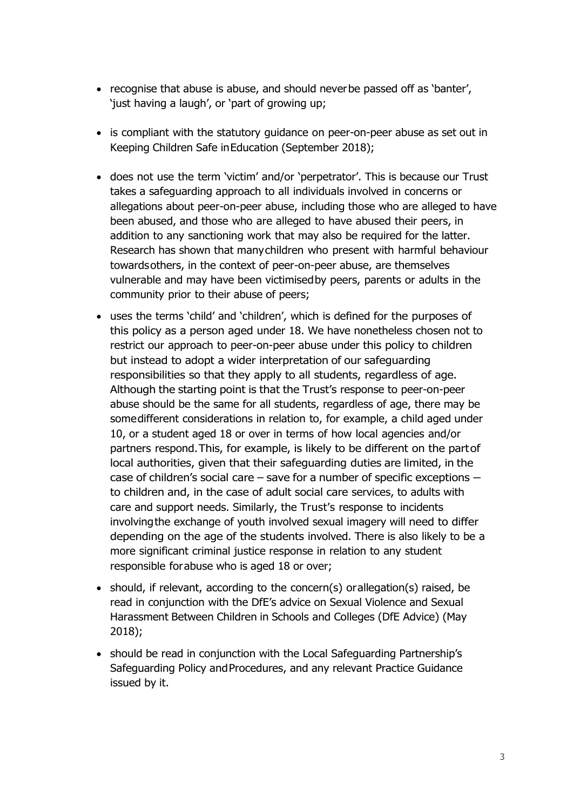- recognise that abuse is abuse, and should neverbe passed off as 'banter', 'just having a laugh', or 'part of growing up;
- is compliant with the statutory guidance on peer-on-peer abuse as set out in Keeping Children Safe inEducation (September 2018);
- does not use the term 'victim' and/or 'perpetrator'. This is because our Trust takes a safeguarding approach to all individuals involved in concerns or allegations about peer-on-peer abuse, including those who are alleged to have been abused, and those who are alleged to have abused their peers, in addition to any sanctioning work that may also be required for the latter. Research has shown that manychildren who present with harmful behaviour towardsothers, in the context of peer-on-peer abuse, are themselves vulnerable and may have been victimisedby peers, parents or adults in the community prior to their abuse of peers;
- uses the terms 'child' and 'children', which is defined for the purposes of this policy as a person aged under 18. We have nonetheless chosen not to restrict our approach to peer-on-peer abuse under this policy to children but instead to adopt a wider interpretation of our safeguarding responsibilities so that they apply to all students, regardless of age. Although the starting point is that the Trust's response to peer-on-peer abuse should be the same for all students, regardless of age, there may be somedifferent considerations in relation to, for example, a child aged under 10, or a student aged 18 or over in terms of how local agencies and/or partners respond.This, for example, is likely to be different on the partof local authorities, given that their safeguarding duties are limited, in the case of children's social care – save for a number of specific exceptions – to children and, in the case of adult social care services, to adults with care and support needs. Similarly, the Trust's response to incidents involvingthe exchange of youth involved sexual imagery will need to differ depending on the age of the students involved. There is also likely to be a more significant criminal justice response in relation to any student responsible forabuse who is aged 18 or over;
- should, if relevant, according to the concern(s) orallegation(s) raised, be read in conjunction with the DfE's advice on Sexual Violence and Sexual Harassment Between Children in Schools and Colleges (DfE Advice) (May 2018);
- should be read in conjunction with the Local Safeguarding Partnership's Safeguarding Policy and Procedures, and any relevant Practice Guidance issued by it.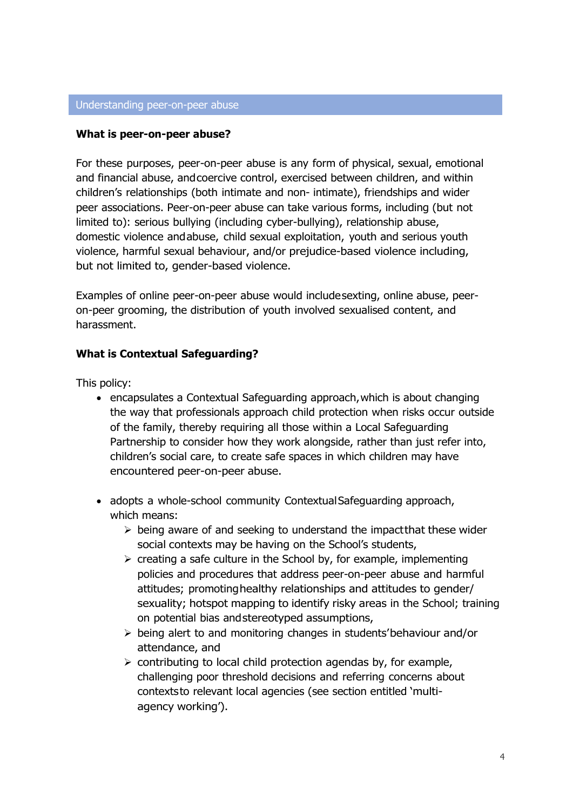#### **What is peer-on-peer abuse?**

For these purposes, peer-on-peer abuse is any form of physical, sexual, emotional and financial abuse, andcoercive control, exercised between children, and within children's relationships (both intimate and non- intimate), friendships and wider peer associations. Peer-on-peer abuse can take various forms, including (but not limited to): serious bullying (including cyber-bullying), relationship abuse, domestic violence andabuse, child sexual exploitation, youth and serious youth violence, harmful sexual behaviour, and/or prejudice-based violence including, but not limited to, gender-based violence.

Examples of online peer-on-peer abuse would includesexting, online abuse, peeron-peer grooming, the distribution of youth involved sexualised content, and harassment.

## **What is Contextual Safeguarding?**

This policy:

- encapsulates a Contextual Safeguarding approach,which is about changing the way that professionals approach child protection when risks occur outside of the family, thereby requiring all those within a Local Safeguarding Partnership to consider how they work alongside, rather than just refer into, children's social care, to create safe spaces in which children may have encountered peer-on-peer abuse.
- adopts a whole-school community Contextual Safeguarding approach, which means:
	- $\triangleright$  being aware of and seeking to understand the impact that these wider social contexts may be having on the School's students,
	- $\triangleright$  creating a safe culture in the School by, for example, implementing policies and procedures that address peer-on-peer abuse and harmful attitudes; promotinghealthy relationships and attitudes to gender/ sexuality; hotspot mapping to identify risky areas in the School; training on potential bias andstereotyped assumptions,
	- $\triangleright$  being alert to and monitoring changes in students' behaviour and/or attendance, and
	- $\triangleright$  contributing to local child protection agendas by, for example, challenging poor threshold decisions and referring concerns about contextsto relevant local agencies (see section entitled 'multiagency working').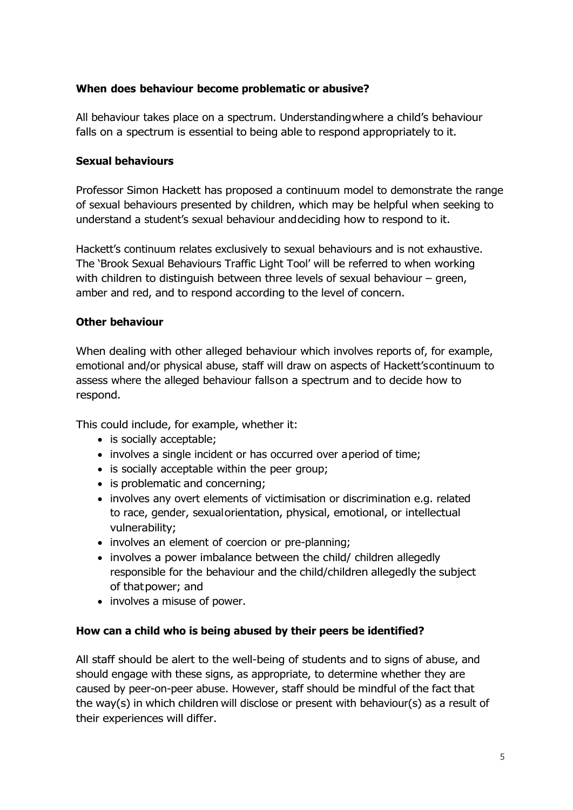## **When does behaviour become problematic or abusive?**

All behaviour takes place on a spectrum. Understandingwhere a child's behaviour falls on a spectrum is essential to being able to respond appropriately to it.

## **Sexual behaviours**

Professor Simon Hackett has proposed a continuum model to demonstrate the range of sexual behaviours presented by children, which may be helpful when seeking to understand a student's sexual behaviour anddeciding how to respond to it.

Hackett's continuum relates exclusively to sexual behaviours and is not exhaustive. The 'Brook Sexual Behaviours Traffic Light Tool' will be referred to when working with children to distinguish between three levels of sexual behaviour – green, amber and red, and to respond according to the level of concern.

## **Other behaviour**

When dealing with other alleged behaviour which involves reports of, for example, emotional and/or physical abuse, staff will draw on aspects of Hackett'scontinuum to assess where the alleged behaviour fallson a spectrum and to decide how to respond.

This could include, for example, whether it:

- is socially acceptable;
- involves a single incident or has occurred over aperiod of time;
- is socially acceptable within the peer group;
- is problematic and concerning;
- involves any overt elements of victimisation or discrimination e.g. related to race, gender, sexualorientation, physical, emotional, or intellectual vulnerability;
- involves an element of coercion or pre-planning;
- involves a power imbalance between the child/ children allegedly responsible for the behaviour and the child/children allegedly the subject of thatpower; and
- involves a misuse of power.

## **How can a child who is being abused by their peers be identified?**

All staff should be alert to the well-being of students and to signs of abuse, and should engage with these signs, as appropriate, to determine whether they are caused by peer-on-peer abuse. However, staff should be mindful of the fact that the way(s) in which children will disclose or present with behaviour(s) as a result of their experiences will differ.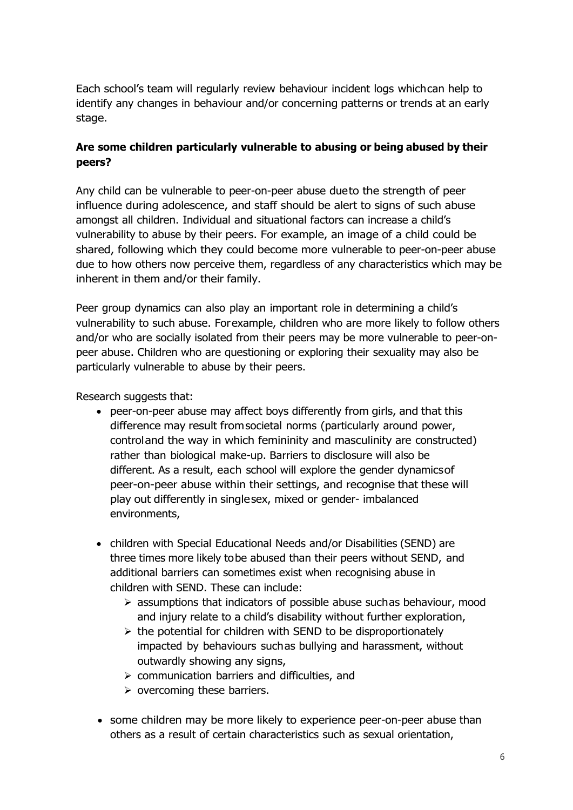Each school's team will regularly review behaviour incident logs whichcan help to identify any changes in behaviour and/or concerning patterns or trends at an early stage.

# **Are some children particularly vulnerable to abusing or being abused by their peers?**

Any child can be vulnerable to peer-on-peer abuse dueto the strength of peer influence during adolescence, and staff should be alert to signs of such abuse amongst all children. Individual and situational factors can increase a child's vulnerability to abuse by their peers. For example, an image of a child could be shared, following which they could become more vulnerable to peer-on-peer abuse due to how others now perceive them, regardless of any characteristics which may be inherent in them and/or their family.

Peer group dynamics can also play an important role in determining a child's vulnerability to such abuse. Forexample, children who are more likely to follow others and/or who are socially isolated from their peers may be more vulnerable to peer-onpeer abuse. Children who are questioning or exploring their sexuality may also be particularly vulnerable to abuse by their peers.

Research suggests that:

- peer-on-peer abuse may affect boys differently from girls, and that this difference may result fromsocietal norms (particularly around power, controland the way in which femininity and masculinity are constructed) rather than biological make-up. Barriers to disclosure will also be different. As a result, each school will explore the gender dynamicsof peer-on-peer abuse within their settings, and recognise that these will play out differently in singlesex, mixed or gender- imbalanced environments,
- children with Special Educational Needs and/or Disabilities (SEND) are three times more likely tobe abused than their peers without SEND, and additional barriers can sometimes exist when recognising abuse in children with SEND. These can include:
	- $\triangleright$  assumptions that indicators of possible abuse suchas behaviour, mood and injury relate to a child's disability without further exploration,
	- $\triangleright$  the potential for children with SEND to be disproportionately impacted by behaviours suchas bullying and harassment, without outwardly showing any signs,
	- $\triangleright$  communication barriers and difficulties, and
	- $\triangleright$  overcoming these barriers.
- some children may be more likely to experience peer-on-peer abuse than others as a result of certain characteristics such as sexual orientation,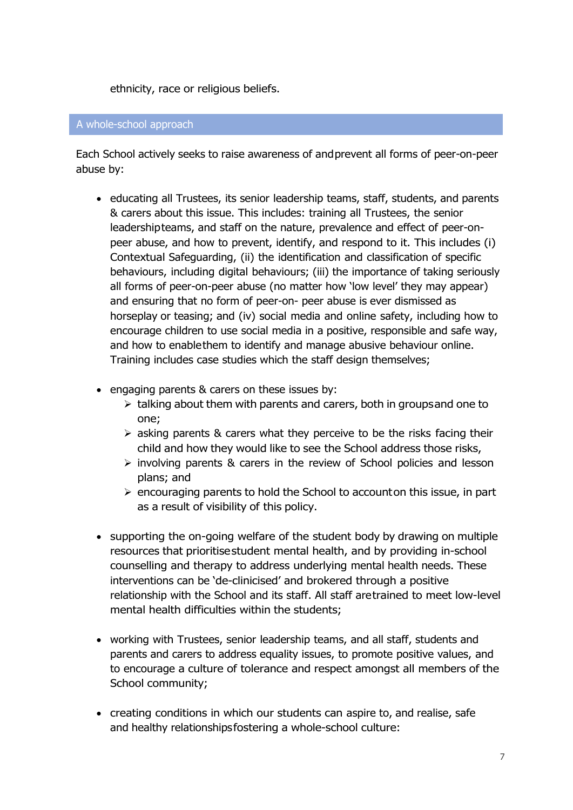ethnicity, race or religious beliefs.

#### A whole-school approach

Each School actively seeks to raise awareness of andprevent all forms of peer-on-peer abuse by:

- educating all Trustees, its senior leadership teams, staff, students, and parents & carers about this issue. This includes: training all Trustees, the senior leadershipteams, and staff on the nature, prevalence and effect of peer-onpeer abuse, and how to prevent, identify, and respond to it. This includes (i) Contextual Safeguarding, (ii) the identification and classification of specific behaviours, including digital behaviours; (iii) the importance of taking seriously all forms of peer-on-peer abuse (no matter how 'low level' they may appear) and ensuring that no form of peer-on- peer abuse is ever dismissed as horseplay or teasing; and (iv) social media and online safety, including how to encourage children to use social media in a positive, responsible and safe way, and how to enablethem to identify and manage abusive behaviour online. Training includes case studies which the staff design themselves;
- engaging parents & carers on these issues by:
	- $\triangleright$  talking about them with parents and carers, both in groupsand one to one;
	- $\triangleright$  asking parents & carers what they perceive to be the risks facing their child and how they would like to see the School address those risks,
	- $\triangleright$  involving parents & carers in the review of School policies and lesson plans; and
	- $\triangleright$  encouraging parents to hold the School to accounton this issue, in part as a result of visibility of this policy.
- supporting the on-going welfare of the student body by drawing on multiple resources that prioritisestudent mental health, and by providing in-school counselling and therapy to address underlying mental health needs. These interventions can be 'de-clinicised' and brokered through a positive relationship with the School and its staff. All staff aretrained to meet low-level mental health difficulties within the students;
- working with Trustees, senior leadership teams, and all staff, students and parents and carers to address equality issues, to promote positive values, and to encourage a culture of tolerance and respect amongst all members of the School community;
- creating conditions in which our students can aspire to, and realise, safe and healthy relationshipsfostering a whole-school culture: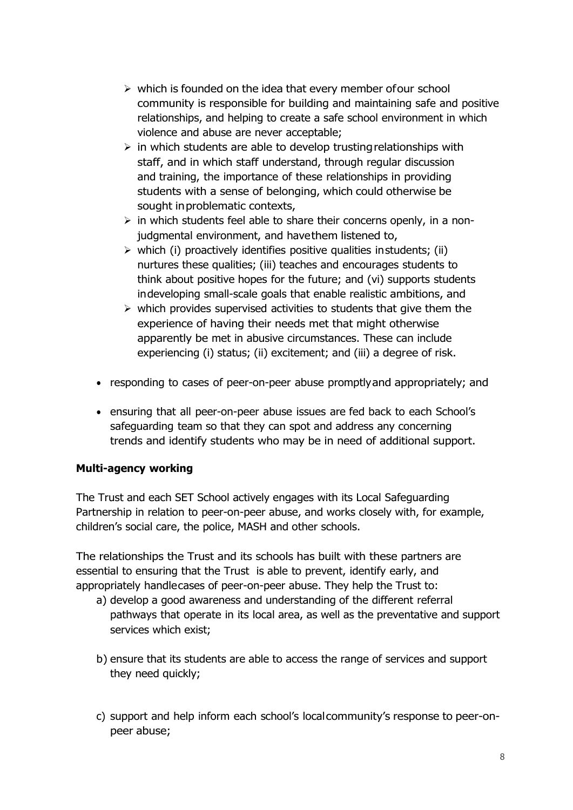- $\triangleright$  which is founded on the idea that every member of our school community is responsible for building and maintaining safe and positive relationships, and helping to create a safe school environment in which violence and abuse are never acceptable;
- $\triangleright$  in which students are able to develop trusting relationships with staff, and in which staff understand, through regular discussion and training, the importance of these relationships in providing students with a sense of belonging, which could otherwise be sought inproblematic contexts,
- $\triangleright$  in which students feel able to share their concerns openly, in a nonjudgmental environment, and havethem listened to,
- $\triangleright$  which (i) proactively identifies positive qualities instudents; (ii) nurtures these qualities; (iii) teaches and encourages students to think about positive hopes for the future; and (vi) supports students indeveloping small-scale goals that enable realistic ambitions, and
- $\triangleright$  which provides supervised activities to students that give them the experience of having their needs met that might otherwise apparently be met in abusive circumstances. These can include experiencing (i) status; (ii) excitement; and (iii) a degree of risk.
- responding to cases of peer-on-peer abuse promptlyand appropriately; and
- ensuring that all peer-on-peer abuse issues are fed back to each School's safeguarding team so that they can spot and address any concerning trends and identify students who may be in need of additional support.

# **Multi-agency working**

The Trust and each SET School actively engages with its Local Safeguarding Partnership in relation to peer-on-peer abuse, and works closely with, for example, children's social care, the police, MASH and other schools.

The relationships the Trust and its schools has built with these partners are essential to ensuring that the Trust is able to prevent, identify early, and appropriately handlecases of peer-on-peer abuse. They help the Trust to:

- a) develop a good awareness and understanding of the different referral pathways that operate in its local area, as well as the preventative and support services which exist;
- b) ensure that its students are able to access the range of services and support they need quickly;
- c) support and help inform each school's localcommunity's response to peer-onpeer abuse;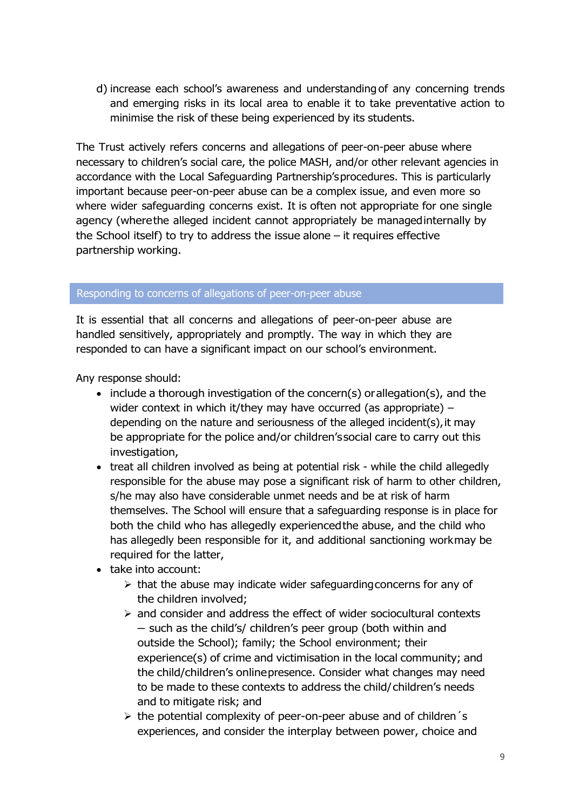d) increase each school's awareness and understanding of any concerning trends and emerging risks in its local area to enable it to take preventative action to minimise the risk of these being experienced by its students.

The Trust actively refers concerns and allegations of peer-on-peer abuse where necessary to children's social care, the police MASH, and/or other relevant agencies in accordance with the Local Safeguarding Partnership'sprocedures. This is particularly important because peer-on-peer abuse can be a complex issue, and even more so where wider safeguarding concerns exist. It is often not appropriate for one single agency (wherethe alleged incident cannot appropriately be managedinternally by the School itself) to try to address the issue alone – it requires effective partnership working.

#### Responding to concerns of allegations of peer-on-peer abuse

It is essential that all concerns and allegations of peer-on-peer abuse are handled sensitively, appropriately and promptly. The way in which they are responded to can have a significant impact on our school's environment.

Any response should:

- include a thorough investigation of the concern(s) orallegation(s), and the wider context in which it/they may have occurred (as appropriate) – depending on the nature and seriousness of the alleged incident(s),it may be appropriate for the police and/or children'ssocial care to carry out this investigation,
- treat all children involved as being at potential risk while the child allegedly responsible for the abuse may pose a significant risk of harm to other children, s/he may also have considerable unmet needs and be at risk of harm themselves. The School will ensure that a safeguarding response is in place for both the child who has allegedly experiencedthe abuse, and the child who has allegedly been responsible for it, and additional sanctioning workmay be required for the latter,
- take into account:
	- $\triangleright$  that the abuse may indicate wider safeguarding concerns for any of the children involved;
	- $\triangleright$  and consider and address the effect of wider sociocultural contexts – such as the child's/ children's peer group (both within and outside the School); family; the School environment; their experience(s) of crime and victimisation in the local community; and the child/children's onlinepresence. Consider what changes may need to be made to these contexts to address the child/children's needs and to mitigate risk; and
	- $\triangleright$  the potential complexity of peer-on-peer abuse and of children's experiences, and consider the interplay between power, choice and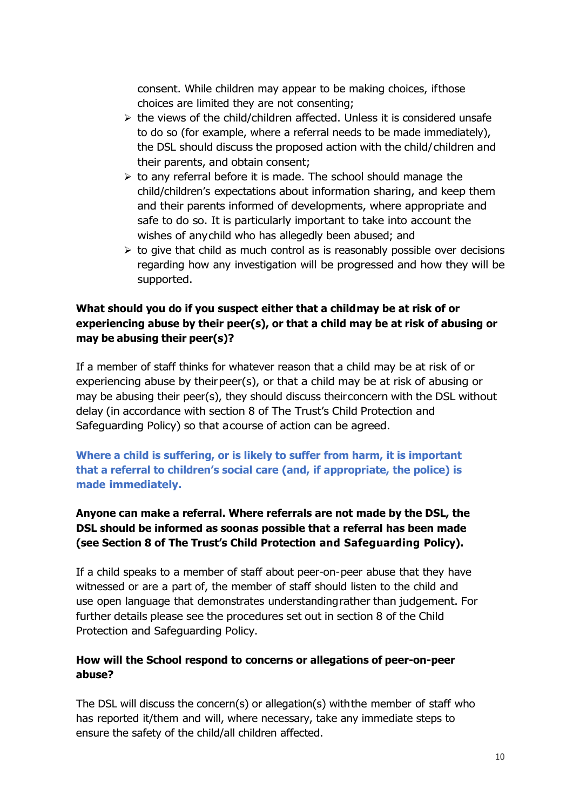consent. While children may appear to be making choices, ifthose choices are limited they are not consenting;

- $\triangleright$  the views of the child/children affected. Unless it is considered unsafe to do so (for example, where a referral needs to be made immediately), the DSL should discuss the proposed action with the child/children and their parents, and obtain consent;
- $\triangleright$  to any referral before it is made. The school should manage the child/children's expectations about information sharing, and keep them and their parents informed of developments, where appropriate and safe to do so. It is particularly important to take into account the wishes of anychild who has allegedly been abused; and
- $\triangleright$  to give that child as much control as is reasonably possible over decisions regarding how any investigation will be progressed and how they will be supported.

# **What should you do if you suspect either that a childmay be at risk of or experiencing abuse by their peer(s), or that a child may be at risk of abusing or may be abusing their peer(s)?**

If a member of staff thinks for whatever reason that a child may be at risk of or experiencing abuse by theirpeer(s), or that a child may be at risk of abusing or may be abusing their peer(s), they should discuss theirconcern with the DSL without delay (in accordance with section 8 of The Trust's Child Protection and Safeguarding Policy) so that acourse of action can be agreed.

**Where a child is suffering, or is likely to suffer from harm, it is important that a referral to children's social care (and, if appropriate, the police) is made immediately.**

# **Anyone can make a referral. Where referrals are not made by the DSL, the DSL should be informed as soonas possible that a referral has been made (see Section 8 of The Trust's Child Protection and Safeguarding Policy).**

If a child speaks to a member of staff about peer-on-peer abuse that they have witnessed or are a part of, the member of staff should listen to the child and use open language that demonstrates understandingrather than judgement. For further details please see the procedures set out in section 8 of the Child Protection and Safeguarding Policy.

## **How will the School respond to concerns or allegations of peer-on-peer abuse?**

The DSL will discuss the concern(s) or allegation(s) withthe member of staff who has reported it/them and will, where necessary, take any immediate steps to ensure the safety of the child/all children affected.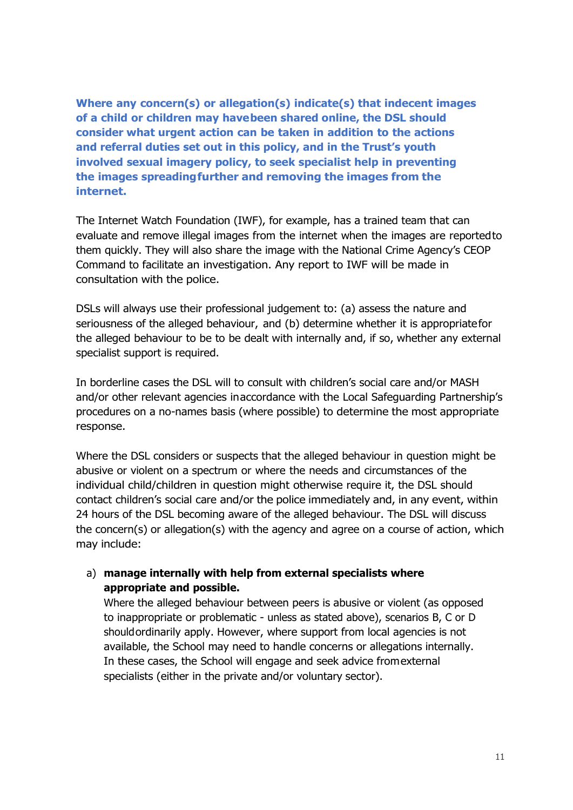**Where any concern(s) or allegation(s) indicate(s) that indecent images of a child or children may havebeen shared online, the DSL should consider what urgent action can be taken in addition to the actions and referral duties set out in this policy, and in the Trust's youth involved sexual imagery policy, to seek specialist help in preventing the images spreadingfurther and removing the images from the internet.**

The Internet Watch Foundation (IWF), for example, has a trained team that can evaluate and remove illegal images from the internet when the images are reportedto them quickly. They will also share the image with the National Crime Agency's CEOP Command to facilitate an investigation. Any report to IWF will be made in consultation with the police.

DSLs will always use their professional judgement to: (a) assess the nature and seriousness of the alleged behaviour, and (b) determine whether it is appropriatefor the alleged behaviour to be to be dealt with internally and, if so, whether any external specialist support is required.

In borderline cases the DSL will to consult with children's social care and/or MASH and/or other relevant agencies inaccordance with the Local Safeguarding Partnership's procedures on a no-names basis (where possible) to determine the most appropriate response.

Where the DSL considers or suspects that the alleged behaviour in question might be abusive or violent on a spectrum or where the needs and circumstances of the individual child/children in question might otherwise require it, the DSL should contact children's social care and/or the police immediately and, in any event, within 24 hours of the DSL becoming aware of the alleged behaviour. The DSL will discuss the concern(s) or allegation(s) with the agency and agree on a course of action, which may include:

## a) **manage internally with help from external specialists where appropriate and possible.**

Where the alleged behaviour between peers is abusive or violent (as opposed to inappropriate or problematic - unless as stated above), scenarios B, C or D shouldordinarily apply. However, where support from local agencies is not available, the School may need to handle concerns or allegations internally. In these cases, the School will engage and seek advice fromexternal specialists (either in the private and/or voluntary sector).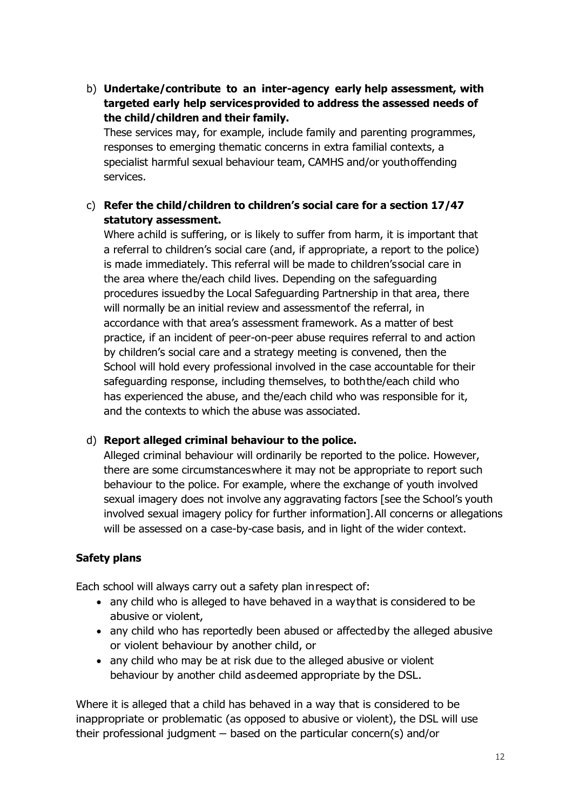b) **Undertake/contribute to an inter-agency early help assessment, with targeted early help servicesprovided to address the assessed needs of the child/children and their family.**

These services may, for example, include family and parenting programmes, responses to emerging thematic concerns in extra familial contexts, a specialist harmful sexual behaviour team, CAMHS and/or youthoffending services.

c) **Refer the child/children to children's social care for a section 17/47 statutory assessment.**

Where achild is suffering, or is likely to suffer from harm, it is important that a referral to children's social care (and, if appropriate, a report to the police) is made immediately. This referral will be made to children'ssocial care in the area where the/each child lives. Depending on the safeguarding procedures issuedby the Local Safeguarding Partnership in that area, there will normally be an initial review and assessmentof the referral, in accordance with that area's assessment framework. As a matter of best practice, if an incident of peer-on-peer abuse requires referral to and action by children's social care and a strategy meeting is convened, then the School will hold every professional involved in the case accountable for their safeguarding response, including themselves, to boththe/each child who has experienced the abuse, and the/each child who was responsible for it, and the contexts to which the abuse was associated.

## d) **Report alleged criminal behaviour to the police.**

Alleged criminal behaviour will ordinarily be reported to the police. However, there are some circumstanceswhere it may not be appropriate to report such behaviour to the police. For example, where the exchange of youth involved sexual imagery does not involve any aggravating factors [see the School's youth involved sexual imagery policy for further information].All concerns or allegations will be assessed on a case-by-case basis, and in light of the wider context.

# **Safety plans**

Each school will always carry out a safety plan inrespect of:

- any child who is alleged to have behaved in a waythat is considered to be abusive or violent,
- any child who has reportedly been abused or affectedby the alleged abusive or violent behaviour by another child, or
- any child who may be at risk due to the alleged abusive or violent behaviour by another child asdeemed appropriate by the DSL.

Where it is alleged that a child has behaved in a way that is considered to be inappropriate or problematic (as opposed to abusive or violent), the DSL will use their professional judgment – based on the particular concern(s) and/or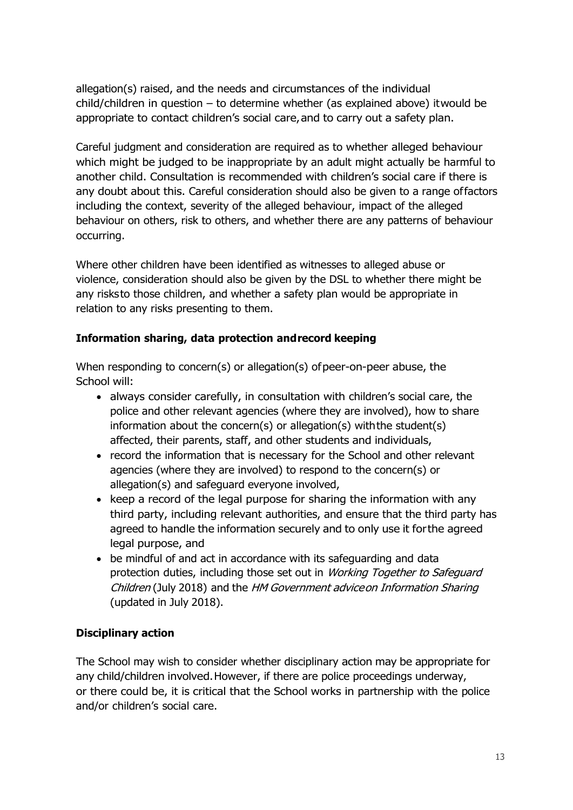allegation(s) raised, and the needs and circumstances of the individual child/children in question – to determine whether (as explained above) itwould be appropriate to contact children's social care,and to carry out a safety plan.

Careful judgment and consideration are required as to whether alleged behaviour which might be judged to be inappropriate by an adult might actually be harmful to another child. Consultation is recommended with children's social care if there is any doubt about this. Careful consideration should also be given to a range offactors including the context, severity of the alleged behaviour, impact of the alleged behaviour on others, risk to others, and whether there are any patterns of behaviour occurring.

Where other children have been identified as witnesses to alleged abuse or violence, consideration should also be given by the DSL to whether there might be any risksto those children, and whether a safety plan would be appropriate in relation to any risks presenting to them.

## **Information sharing, data protection andrecord keeping**

When responding to concern(s) or allegation(s) of peer-on-peer abuse, the School will:

- always consider carefully, in consultation with children's social care, the police and other relevant agencies (where they are involved), how to share information about the concern(s) or allegation(s) withthe student(s) affected, their parents, staff, and other students and individuals,
- record the information that is necessary for the School and other relevant agencies (where they are involved) to respond to the concern(s) or allegation(s) and safeguard everyone involved,
- keep a record of the legal purpose for sharing the information with any third party, including relevant authorities, and ensure that the third party has agreed to handle the information securely and to only use it forthe agreed legal purpose, and
- be mindful of and act in accordance with its safeguarding and data protection duties, including those set out in Working Together to Safeguard Children (July 2018) and the HM Government adviceon Information Sharing (updated in July 2018).

# **Disciplinary action**

The School may wish to consider whether disciplinary action may be appropriate for any child/children involved.However, if there are police proceedings underway, or there could be, it is critical that the School works in partnership with the police and/or children's social care.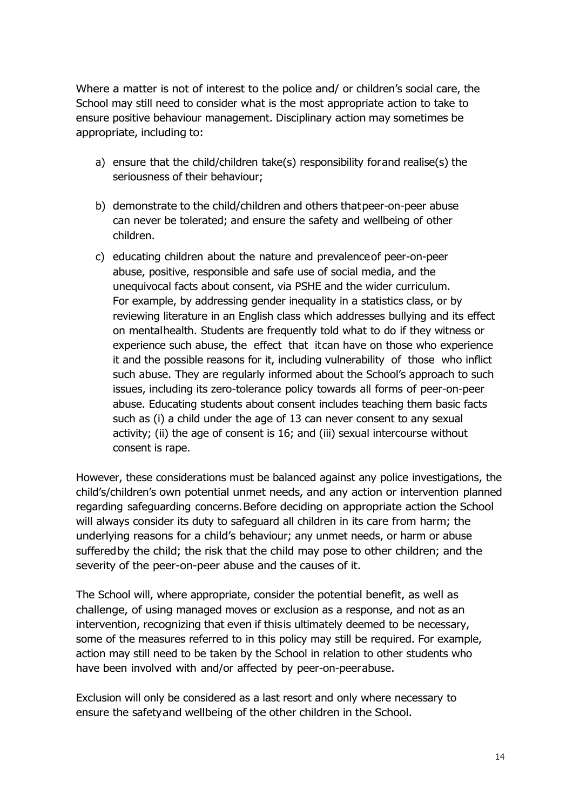Where a matter is not of interest to the police and/ or children's social care, the School may still need to consider what is the most appropriate action to take to ensure positive behaviour management. Disciplinary action may sometimes be appropriate, including to:

- a) ensure that the child/children take(s) responsibility forand realise(s) the seriousness of their behaviour;
- b) demonstrate to the child/children and others thatpeer-on-peer abuse can never be tolerated; and ensure the safety and wellbeing of other children.
- c) educating children about the nature and prevalenceof peer-on-peer abuse, positive, responsible and safe use of social media, and the unequivocal facts about consent, via PSHE and the wider curriculum. For example, by addressing gender inequality in a statistics class, or by reviewing literature in an English class which addresses bullying and its effect on mentalhealth. Students are frequently told what to do if they witness or experience such abuse, the effect that itcan have on those who experience it and the possible reasons for it, including vulnerability of those who inflict such abuse. They are regularly informed about the School's approach to such issues, including its zero-tolerance policy towards all forms of peer-on-peer abuse. Educating students about consent includes teaching them basic facts such as (i) a child under the age of 13 can never consent to any sexual activity; (ii) the age of consent is 16; and (iii) sexual intercourse without consent is rape.

However, these considerations must be balanced against any police investigations, the child's/children's own potential unmet needs, and any action or intervention planned regarding safeguarding concerns.Before deciding on appropriate action the School will always consider its duty to safeguard all children in its care from harm; the underlying reasons for a child's behaviour; any unmet needs, or harm or abuse sufferedby the child; the risk that the child may pose to other children; and the severity of the peer-on-peer abuse and the causes of it.

The School will, where appropriate, consider the potential benefit, as well as challenge, of using managed moves or exclusion as a response, and not as an intervention, recognizing that even if thisis ultimately deemed to be necessary, some of the measures referred to in this policy may still be required. For example, action may still need to be taken by the School in relation to other students who have been involved with and/or affected by peer-on-peerabuse.

Exclusion will only be considered as a last resort and only where necessary to ensure the safetyand wellbeing of the other children in the School.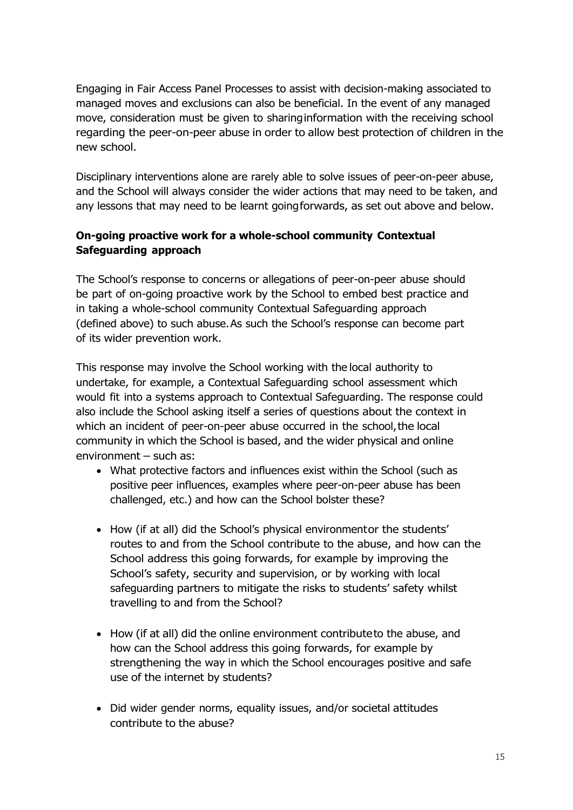Engaging in Fair Access Panel Processes to assist with decision-making associated to managed moves and exclusions can also be beneficial. In the event of any managed move, consideration must be given to sharinginformation with the receiving school regarding the peer-on-peer abuse in order to allow best protection of children in the new school.

Disciplinary interventions alone are rarely able to solve issues of peer-on-peer abuse, and the School will always consider the wider actions that may need to be taken, and any lessons that may need to be learnt goingforwards, as set out above and below.

# **On-going proactive work for a whole-school community Contextual Safeguarding approach**

The School's response to concerns or allegations of peer-on-peer abuse should be part of on-going proactive work by the School to embed best practice and in taking a whole-school community Contextual Safeguarding approach (defined above) to such abuse.As such the School's response can become part of its wider prevention work.

This response may involve the School working with the local authority to undertake, for example, a Contextual Safeguarding school assessment which would fit into a systems approach to Contextual Safeguarding. The response could also include the School asking itself a series of questions about the context in which an incident of peer-on-peer abuse occurred in the school,the local community in which the School is based, and the wider physical and online environment – such as:

- What protective factors and influences exist within the School (such as positive peer influences, examples where peer-on-peer abuse has been challenged, etc.) and how can the School bolster these?
- How (if at all) did the School's physical environmentor the students' routes to and from the School contribute to the abuse, and how can the School address this going forwards, for example by improving the School's safety, security and supervision, or by working with local safeguarding partners to mitigate the risks to students' safety whilst travelling to and from the School?
- How (if at all) did the online environment contributeto the abuse, and how can the School address this going forwards, for example by strengthening the way in which the School encourages positive and safe use of the internet by students?
- Did wider gender norms, equality issues, and/or societal attitudes contribute to the abuse?